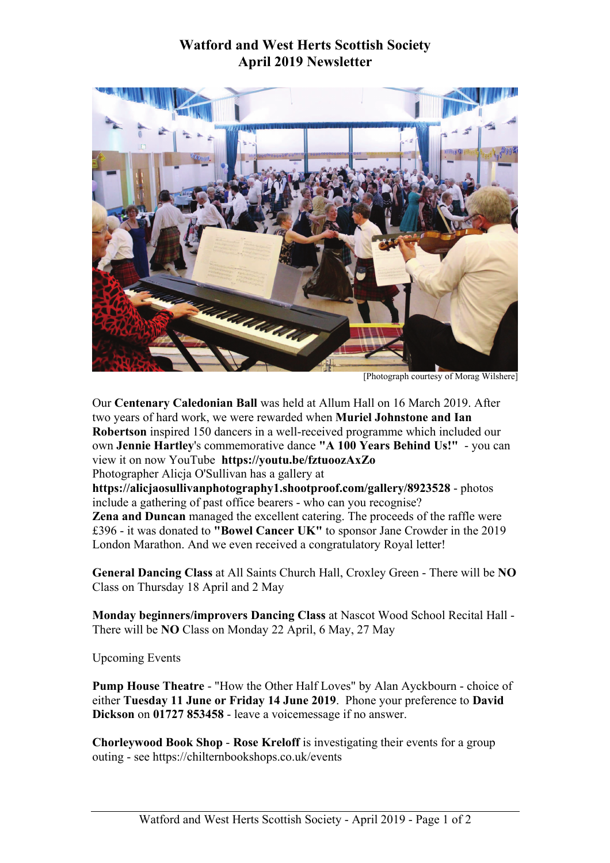## **Watford and West Herts Scottish Society April 2019 Newsletter**



[Photograph courtesy of Morag Wilshere]

Our **Centenary Caledonian Ball** was held at Allum Hall on 16 March 2019. After two years of hard work, we were rewarded when **Muriel Johnstone and Ian Robertson** inspired 150 dancers in a well-received programme which included our own **Jennie Hartley**'s commemorative dance **"A 100 Years Behind Us!"** - you can view it on now YouTube **https://youtu.be/fztuoozAxZo** Photographer Alicja O'Sullivan has a gallery at **https://alicjaosullivanphotography1.shootproof.com/gallery/8923528** - photos include a gathering of past office bearers - who can you recognise? **Zena and Duncan** managed the excellent catering. The proceeds of the raffle were £396 - it was donated to **"Bowel Cancer UK"** to sponsor Jane Crowder in the 2019

London Marathon. And we even received a congratulatory Royal letter!

**General Dancing Class** at All Saints Church Hall, Croxley Green - There will be **NO** Class on Thursday 18 April and 2 May

**Monday beginners/improvers Dancing Class** at Nascot Wood School Recital Hall - There will be **NO** Class on Monday 22 April, 6 May, 27 May

Upcoming Events

**Pump House Theatre** - "How the Other Half Loves" by Alan Ayckbourn - choice of either **Tuesday 11 June or Friday 14 June 2019**. Phone your preference to **David Dickson** on **01727 853458** - leave a voicemessage if no answer.

**Chorleywood Book Shop** - **Rose Kreloff** is investigating their events for a group outing - see https://chilternbookshops.co.uk/events